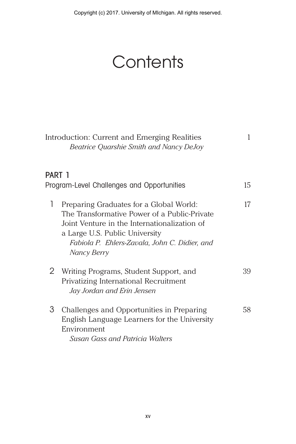Copyright (c) 2017. University of MIchigan. All rights reserved.

## **Contents**

|        | Introduction: Current and Emerging Realities<br>Beatrice Quarshie Smith and Nancy DeJoy                                                                                                                                                   |    |
|--------|-------------------------------------------------------------------------------------------------------------------------------------------------------------------------------------------------------------------------------------------|----|
| PART 1 |                                                                                                                                                                                                                                           | 15 |
|        | Program-Level Challenges and Opportunities                                                                                                                                                                                                |    |
| 1      | Preparing Graduates for a Global World:<br>The Transformative Power of a Public-Private<br>Joint Venture in the Internationalization of<br>a Large U.S. Public University<br>Fabiola P. Ehlers-Zavala, John C. Didier, and<br>Nancy Berry | 17 |
| 2      | Writing Programs, Student Support, and<br>Privatizing International Recruitment<br>Jay Jordan and Erin Jensen                                                                                                                             | 39 |
| 3      | Challenges and Opportunities in Preparing<br>English Language Learners for the University<br>Environment<br><b>Susan Gass and Patricia Walters</b>                                                                                        | 58 |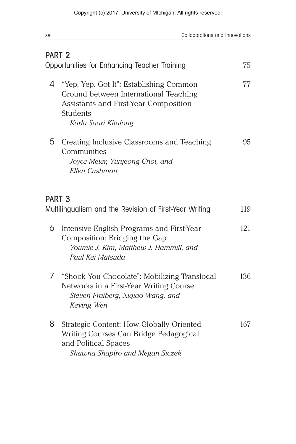| xvi | Collaborations and Innovations                                                                                                                                       |     |
|-----|----------------------------------------------------------------------------------------------------------------------------------------------------------------------|-----|
|     | PART <sub>2</sub>                                                                                                                                                    |     |
|     | Opportunities for Enhancing Teacher Training                                                                                                                         | 75  |
| 4   | "Yep, Yep. Got It": Establishing Common<br>Ground between International Teaching<br>Assistants and First-Year Composition<br><b>Students</b><br>Karla Saari Kitalong | 77  |
| 5   | Creating Inclusive Classrooms and Teaching<br>Communities<br>Joyce Meier, Yunjeong Choi, and<br>Ellen Cushman                                                        | 95  |
|     | PART <sub>3</sub><br>Multilingualism and the Revision of First-Year Writing                                                                                          | 119 |
| 6   | Intensive English Programs and First-Year<br>Composition: Bridging the Gap<br>Youmie J. Kim, Matthew J. Hammill, and<br>Paul Kei Matsuda                             | 121 |
| 7   | "Shock You Chocolate": Mobilizing Translocal<br>Networks in a First-Year Writing Course<br>Steven Fraiberg, Xiqiao Wang, and<br>Keying Wen                           | 136 |
| 8   | Strategic Content: How Globally Oriented<br>Writing Courses Can Bridge Pedagogical<br>and Political Spaces<br>Shawna Shapiro and Megan Siczek                        | 167 |